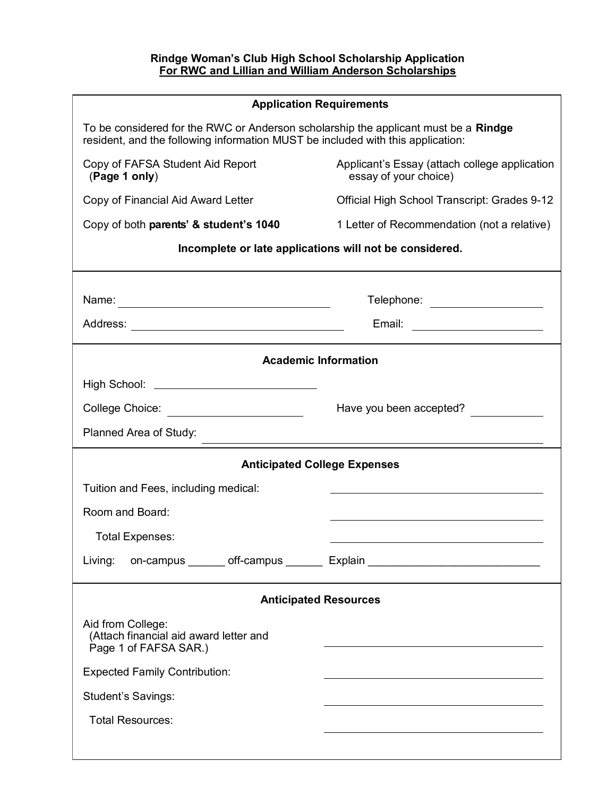| <b>Application Requirements</b>                                                                                                                                        |                                                                                                                       |  |
|------------------------------------------------------------------------------------------------------------------------------------------------------------------------|-----------------------------------------------------------------------------------------------------------------------|--|
| To be considered for the RWC or Anderson scholarship the applicant must be a Rindge<br>resident, and the following information MUST be included with this application: |                                                                                                                       |  |
| Copy of FAFSA Student Aid Report<br>(Page 1 only)                                                                                                                      | Applicant's Essay (attach college application<br>essay of your choice)                                                |  |
| Copy of Financial Aid Award Letter                                                                                                                                     | Official High School Transcript: Grades 9-12                                                                          |  |
| Copy of both parents' & student's 1040                                                                                                                                 | 1 Letter of Recommendation (not a relative)                                                                           |  |
| Incomplete or late applications will not be considered.                                                                                                                |                                                                                                                       |  |
|                                                                                                                                                                        | Telephone: ___________________                                                                                        |  |
|                                                                                                                                                                        | Email: _______________________                                                                                        |  |
| <b>Academic Information</b>                                                                                                                                            |                                                                                                                       |  |
| High School: <u>___________________________</u>                                                                                                                        |                                                                                                                       |  |
| College Choice: ________________________                                                                                                                               | Have you been accepted?                                                                                               |  |
| Planned Area of Study:                                                                                                                                                 | <u> 1989 - Johann Barn, mars ann an t-Amhain Aonaichte ann an t-Aonaichte ann an t-Aonaichte ann an t-Aonaichte a</u> |  |
| <b>Anticipated College Expenses</b>                                                                                                                                    |                                                                                                                       |  |
| Tuition and Fees, including medical:                                                                                                                                   |                                                                                                                       |  |
| Room and Board:                                                                                                                                                        |                                                                                                                       |  |
| <b>Total Expenses:</b>                                                                                                                                                 |                                                                                                                       |  |
| Living:                                                                                                                                                                | on-campus _______ off-campus _______ Explain ___________________________________                                      |  |
| <b>Anticipated Resources</b>                                                                                                                                           |                                                                                                                       |  |
| Aid from College:<br>(Attach financial aid award letter and<br>Page 1 of FAFSA SAR.)                                                                                   |                                                                                                                       |  |
| <b>Expected Family Contribution:</b>                                                                                                                                   |                                                                                                                       |  |
| <b>Student's Savings:</b>                                                                                                                                              |                                                                                                                       |  |
| <b>Total Resources:</b>                                                                                                                                                |                                                                                                                       |  |
|                                                                                                                                                                        |                                                                                                                       |  |